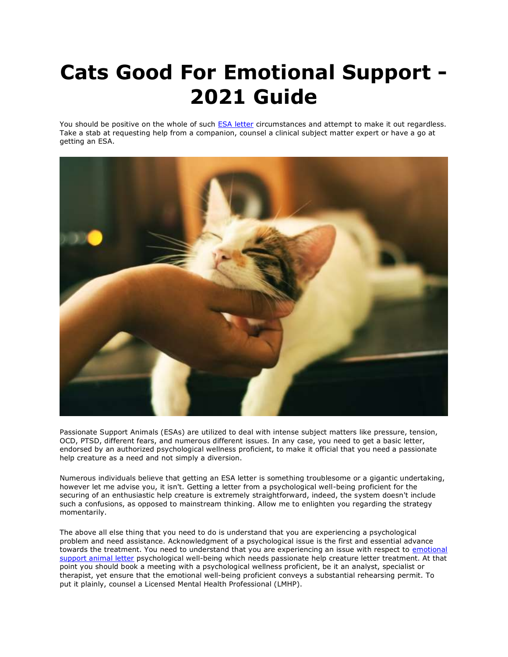## **Cats Good For Emotional Support - 2021 Guide**

You should be positive on the whole of such **[ESA letter](https://www.realesaletter.com/sample-esa-letter) circumstances and attempt to make it out regardless.** Take a stab at requesting help from a companion, counsel a clinical subject matter expert or have a go at getting an ESA.



Passionate Support Animals (ESAs) are utilized to deal with intense subject matters like pressure, tension, OCD, PTSD, different fears, and numerous different issues. In any case, you need to get a basic letter, endorsed by an authorized psychological wellness proficient, to make it official that you need a passionate help creature as a need and not simply a diversion.

Numerous individuals believe that getting an ESA letter is something troublesome or a gigantic undertaking, however let me advise you, it isn't. Getting a letter from a psychological well-being proficient for the securing of an enthusiastic help creature is extremely straightforward, indeed, the system doesn't include such a confusions, as opposed to mainstream thinking. Allow me to enlighten you regarding the strategy momentarily.

The above all else thing that you need to do is understand that you are experiencing a psychological problem and need assistance. Acknowledgment of a psychological issue is the first and essential advance towards the treatment. You need to understand that you are experiencing an issue with respect to [emotional](https://www.realesaletter.com/sample-esa-letter)  [support animal letter](https://www.realesaletter.com/sample-esa-letter) psychological well-being which needs passionate help creature letter treatment. At that point you should book a meeting with a psychological wellness proficient, be it an analyst, specialist or therapist, yet ensure that the emotional well-being proficient conveys a substantial rehearsing permit. To put it plainly, counsel a Licensed Mental Health Professional (LMHP).